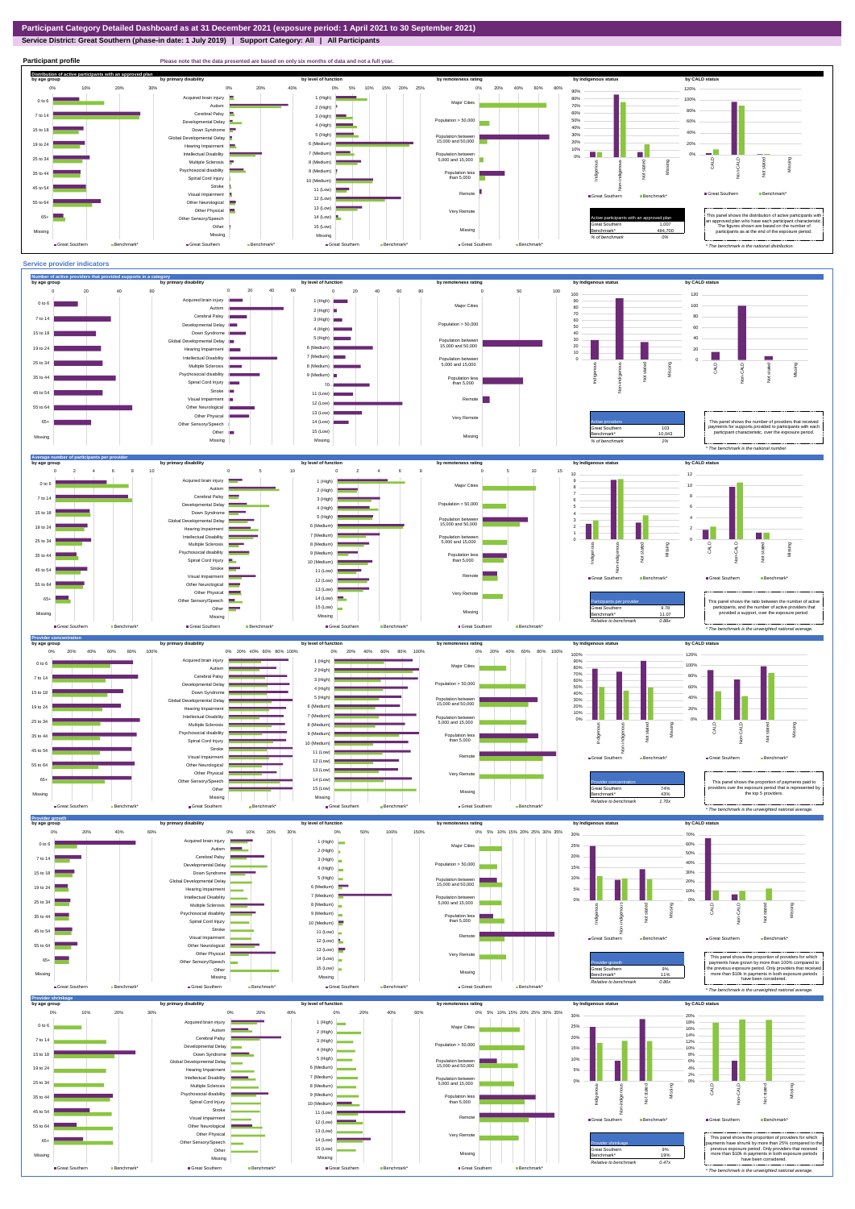**Service District: Great Southern (phase-in date: 1 July 2019) | Support Category: All | All Participants**



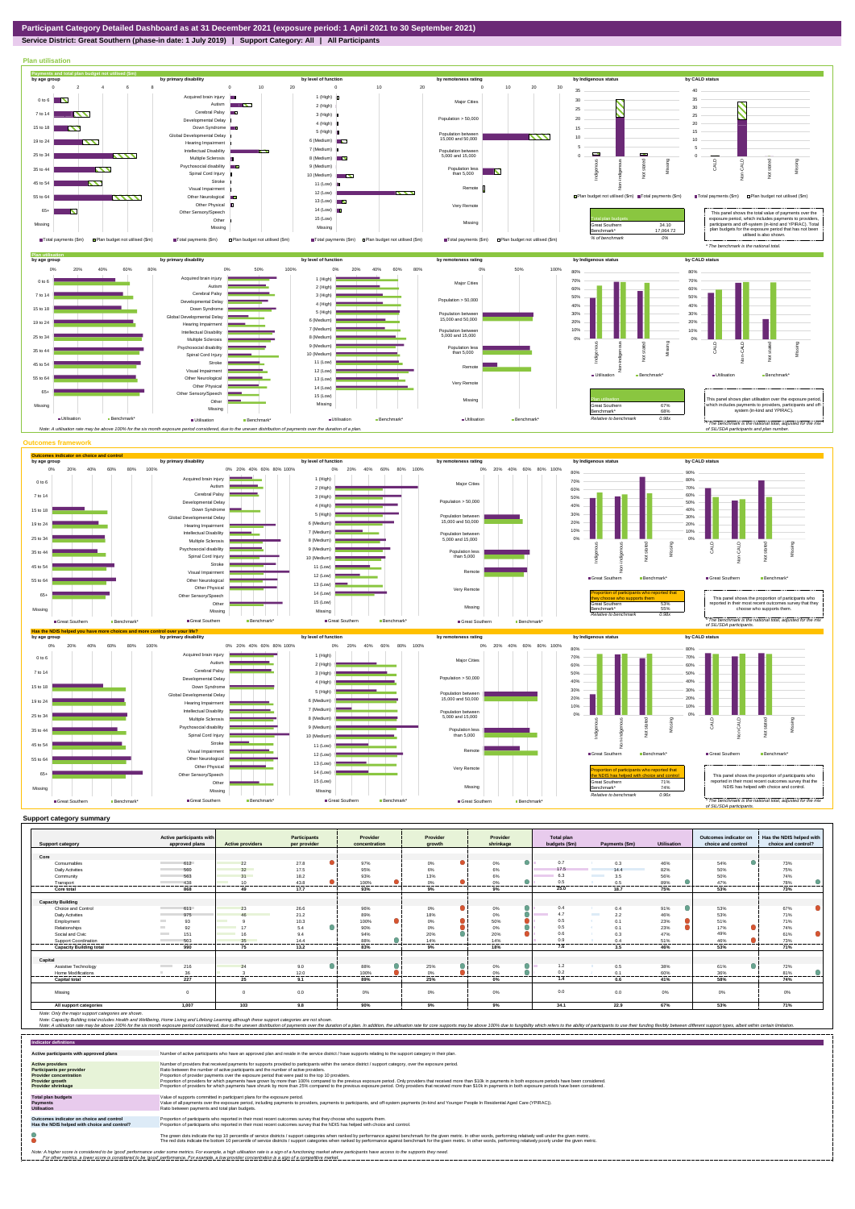**Service District: Great Southern (phase-in date: 1 July 2019) | Support Category: All | All Participants**



| <b>Support category</b>        | Active participants with<br>approved plans | <b>Active providers</b> | <b>Participants</b><br>per provider | Provider<br>concentration | Provider<br>growth | Provider<br>shrinkage | <b>Total plan</b><br>budgets (\$m) | Payments (\$m)            | <b>Utilisation</b> | Outcomes indicator on<br>choice and control | Has the NDIS helped with<br>choice and control? |
|--------------------------------|--------------------------------------------|-------------------------|-------------------------------------|---------------------------|--------------------|-----------------------|------------------------------------|---------------------------|--------------------|---------------------------------------------|-------------------------------------------------|
|                                |                                            |                         |                                     |                           |                    |                       |                                    |                           |                    |                                             |                                                 |
| Core                           |                                            |                         |                                     |                           |                    |                       |                                    |                           |                    |                                             |                                                 |
| Consumables                    | 612                                        | 22                      | 27.8                                | 97%                       | $0\%$              | 0%                    | 0.7                                | 0.3                       | 46%                | 54%                                         | 73%                                             |
| <b>Daily Activities</b>        | 560                                        | 32                      | 17.5                                | 95%                       | 6%                 | 6%                    | 17.5                               | 144                       | 82%                | 50%                                         | 75%                                             |
| Community                      | 563                                        | 31                      | 18.2                                | 93%                       | 13%                | 6%                    | 6.3                                | 3.5                       | 56%                | 50%                                         | 74%                                             |
| Transport                      | 438                                        | 10 <sup>1</sup>         | 43.8                                | 100%                      | 0%                 | 0%                    | 0.5                                | 0.5                       | 89%                | 47%                                         | 78%                                             |
| Core total                     | -----------<br>868                         | 49                      | --------<br>17.7                    | 93%                       | -----<br>9%        | 9%                    | <br>25.0                           | --------<br>18.7          | ------<br>75%      | 53%                                         | 73%                                             |
|                                |                                            |                         |                                     |                           |                    |                       |                                    |                           |                    |                                             |                                                 |
| <b>Capacity Building</b>       |                                            |                         |                                     |                           |                    |                       |                                    |                           |                    |                                             |                                                 |
| Choice and Control             | 611                                        | 23                      | 26.6                                | 96%                       | $0\%$              | 0%                    | 0.4                                | 0.4                       | 91%                | 53%                                         | 67%                                             |
| <b>Daily Activities</b>        | 975                                        | $\overline{AB}$         | 21.2                                | 89%                       | 18%                | 0%                    | 4.7                                | <b>The College</b><br>2.2 | 46%                | 53%                                         | 71%                                             |
| Employment                     | 93                                         |                         | 10.3                                | $\bullet$<br>100%         | 0%                 | 50%                   | 0.5                                | 0.1                       | 23%                | 51%                                         | 71%                                             |
| Relationships                  | 92                                         |                         | ۸<br>5.4                            | 90%                       | 0%                 | 0%                    | 0.5                                | $\Omega$                  | 23%                | 17%                                         | 74%                                             |
| Social and Civic               | 151                                        |                         | 9.4                                 | 94%                       | 20%                | 20%                   | 0.6                                | 0.3                       | 47%                | 49%                                         | 61%                                             |
| Support Coordination           | 503                                        | 35                      | 144                                 | 88%                       | 14%<br>------      | 14%                   | 0.9                                | 0 <sub>A</sub><br>------- | 51%                | 46%                                         | 73%                                             |
| <b>Capacity Building total</b> | .<br>990                                   | ------<br>75            | .<br>13.2                           | .<br>83%                  | 9%                 | 18%                   | 7.6                                | 3.5                       | 46%                | 53%                                         | 71%                                             |
| Capital                        |                                            |                         |                                     |                           |                    |                       |                                    |                           |                    |                                             |                                                 |
| Assistive Technology           | 216<br><b>Contract Contract</b>            | 24                      | 9.0                                 | 88%                       | 25%                | 0%                    | 1.2                                | 0.5                       | 38%                | 61%                                         | 72%                                             |
| <b>Home Modifications</b>      | 36                                         |                         | 12.0                                | 100%                      | 0%                 | 0%                    | 0.2                                | 0.1                       | 60%                | 36%                                         | 81%                                             |
| <b>Capital total</b>           | .<br>227                                   | .<br>25                 | .<br>9.1                            | 89%                       | ------<br>25%      | 0%                    | --------<br>1.4                    | -------<br>0.6            | ------<br>41%      | 58%                                         | 74%                                             |
| Missina                        |                                            |                         | 0.0                                 | 0%                        | 0%                 | 0%                    | 0.0                                | 0.0                       | $0\%$              | $0\%$                                       | $0\%$                                           |
| All support categories         | 1.007                                      | 103                     | 9.8                                 | 90%                       | 9%                 | 9%                    | 34.1                               | 22.9                      | 67%                | 53%                                         | 71%                                             |

| <b>Indicator definitions</b>                                                                                                                        |                                                                                                                                                                                                                                                                                                                                                                                                                                                                                                                                                                                                                                                                                                                                                                                                                 |
|-----------------------------------------------------------------------------------------------------------------------------------------------------|-----------------------------------------------------------------------------------------------------------------------------------------------------------------------------------------------------------------------------------------------------------------------------------------------------------------------------------------------------------------------------------------------------------------------------------------------------------------------------------------------------------------------------------------------------------------------------------------------------------------------------------------------------------------------------------------------------------------------------------------------------------------------------------------------------------------|
| Active participants with approved plans                                                                                                             | Number of active participants who have an approved plan and reside in the service district / have supports relating to the support category in their plan.                                                                                                                                                                                                                                                                                                                                                                                                                                                                                                                                                                                                                                                      |
| <b>Active providers</b><br><b>Participants per provider</b><br><b>Provider concentration</b><br><b>Provider growth</b><br><b>Provider shrinkage</b> | Number of providers that received payments for supports provided to participants within the service district / support category, over the exposure period.<br>Ratio between the number of active participants and the number of active providers.<br>Proportion of provider payments over the exposure period that were paid to the top 10 providers.<br>Proportion of providers for which payments have grown by more than 100% compared to the previous exposure period. Only providers that received more than \$10k in payments in both exposure periods have been considered.<br>Proportion of providers for which payments have shrunk by more than 25% compared to the previous exposure period. Only providers that received more than \$10k in payments in both exposure periods have been considered. |
| <b>Total plan budgets</b><br>Payments<br><b>Utilisation</b>                                                                                         | Value of supports committed in participant plans for the exposure period.<br>Value of all payments over the exposure period, including payments to providers, payments to participants, and off-system payments (in-kind and Younger People In Residential Aged Care (YPIRAC)).<br>Ratio between payments and total plan budgets.                                                                                                                                                                                                                                                                                                                                                                                                                                                                               |
| Outcomes indicator on choice and control<br>Has the NDIS helped with choice and control?                                                            | Proportion of participants who reported in their most recent outcomes survey that they choose who supports them.<br>Proportion of participants who reported in their most recent outcomes survey that the NDIS has helped with choice and control.                                                                                                                                                                                                                                                                                                                                                                                                                                                                                                                                                              |
|                                                                                                                                                     | The green dots indicate the top 10 percentile of service districts / support categories when ranked by performance against benchmark for the given metric. In other words, performing relatively well under the given metric.<br>The red dots indicate the bottom 10 percentile of service districts / support categories when ranked by performance against benchmark for the given metric. In other words, performing relatively poorly under the given metri                                                                                                                                                                                                                                                                                                                                                 |
|                                                                                                                                                     | Note: A higher score is considered to be 'good' performance under some metrics. For example, a high utilisation rate is a sign of a functioning market where participants have access to the supports they need.<br>For other metrics, a lower score is considered to be 'good' performance. For example, a low provider concentration is a sign of a competitive market.                                                                                                                                                                                                                                                                                                                                                                                                                                       |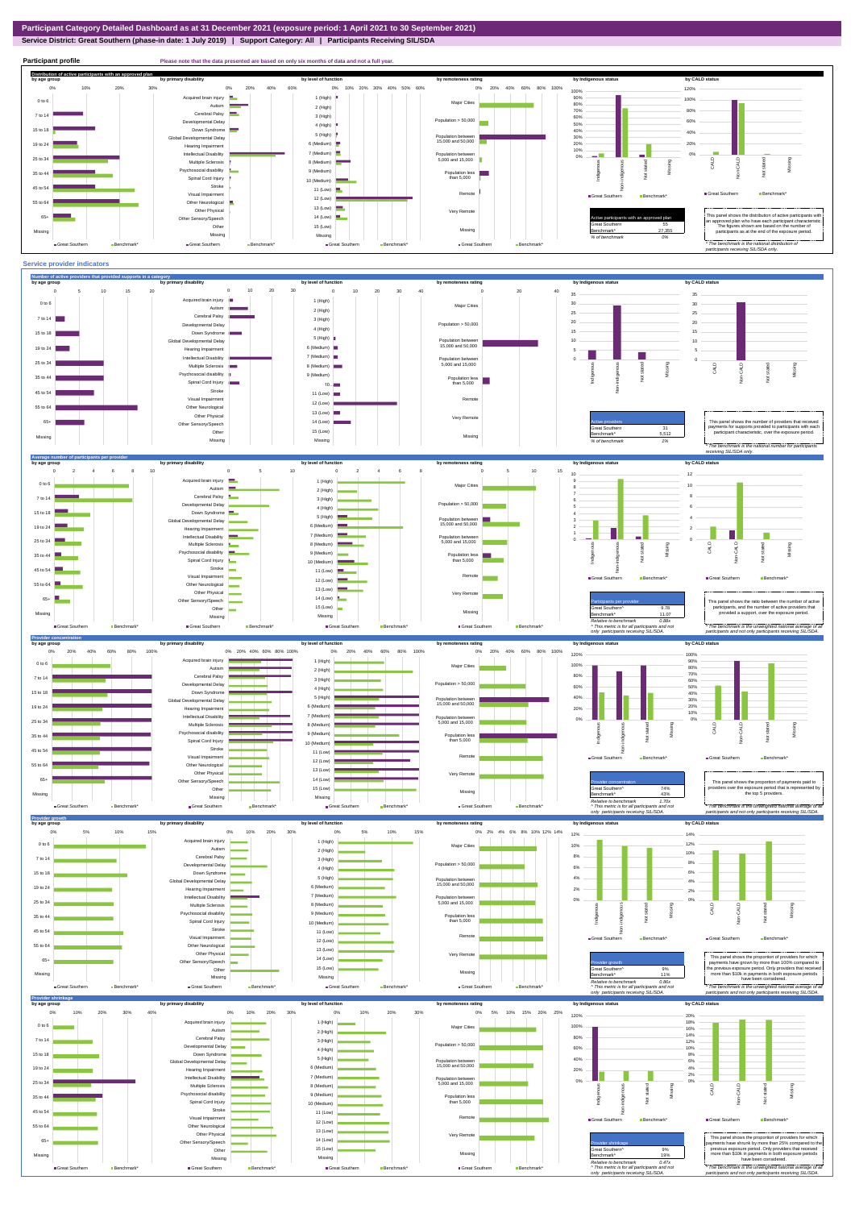**Service District: Great Southern (phase-in date: 1 July 2019) | Support Category: All | Participants Receiving SIL/SDA**





2% 4%

2% 4%

Population between 15,000 and 50,000

5 (High) 6 (Medium) 7 (Medium)

Global Developmental Delay Hearing Impairment

÷,

19 to 24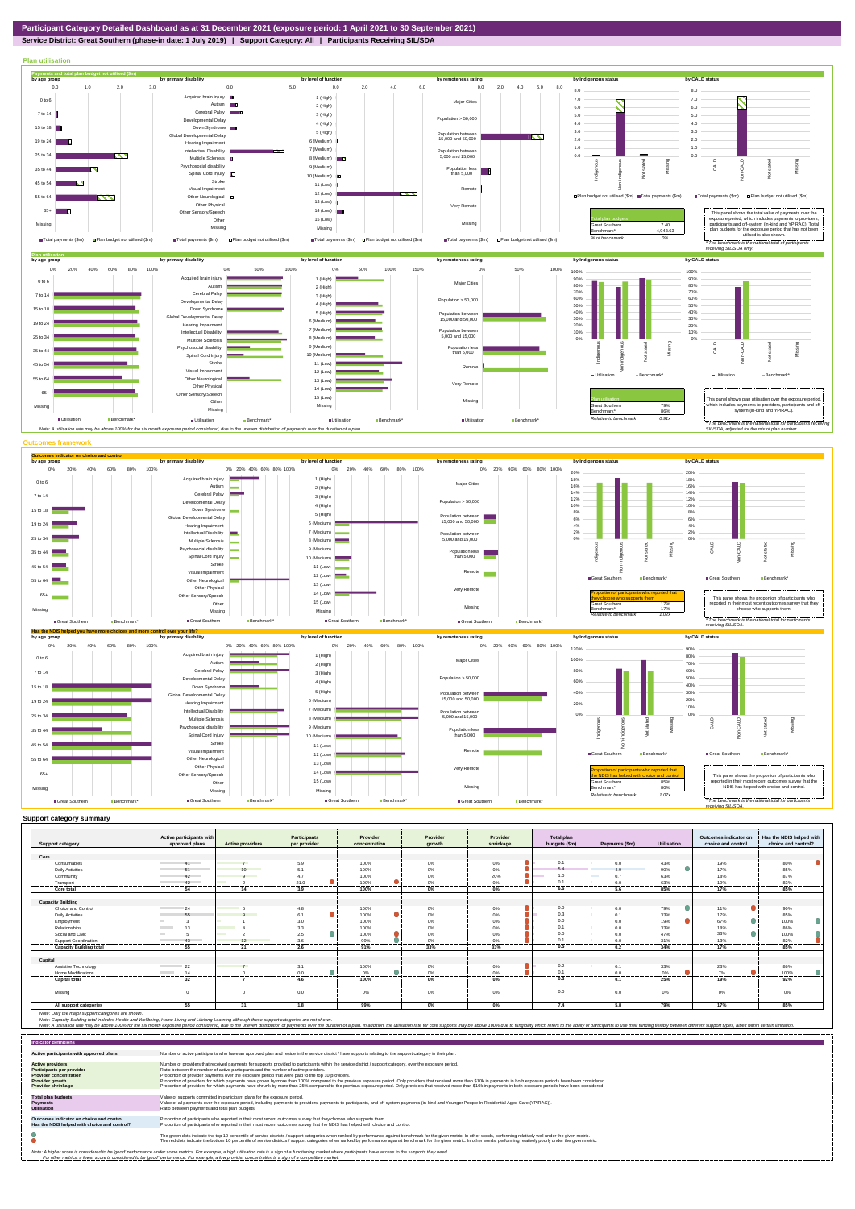

## **Service District: Great Southern (phase-in date: 1 July 2019) | Support Category: All | Participants Receiving SIL/SDA**



|                                | Active participants with       |                         | Participants   | Provider          | Provider        | Provider  | <b>Total plan</b> |                          |                    | Outcomes indicator on | Has the NDIS helped with    |
|--------------------------------|--------------------------------|-------------------------|----------------|-------------------|-----------------|-----------|-------------------|--------------------------|--------------------|-----------------------|-----------------------------|
| <b>Support category</b>        | approved plans                 | <b>Active providers</b> | per provider   | concentration     | growth          | shrinkage | budgets (\$m)     | Payments (\$m)           | <b>Utilisation</b> | choice and control    | choice and control?         |
|                                |                                |                         |                |                   |                 |           |                   |                          |                    |                       |                             |
| Core                           |                                |                         |                |                   |                 |           |                   |                          |                    |                       |                             |
| Consumables                    | 41                             |                         | 5.9            | 100%              | 0%              | 0%        | 0.1               | 0.0                      | 43%                | 19%                   | 80%                         |
| <b>Daily Activities</b>        | 51                             | 10                      | 5.1            | 100%              | $0\%$           | 0%        | 5.4               | 49                       | 90%                | 17%                   | 85%                         |
| Community                      | 42                             | $\Omega$                | 4.7            | 100%              | 0%              | 20%       | 1.0               | <b>The Second</b><br>0.7 | 63%                | 18%                   | 87%                         |
| Transport<br>. <b>.</b>        | 42<br>------------             |                         | 21.0<br>       | 100%<br>--------- | 0%<br>--------- | 0%<br>.   | 0.1<br>           | 0.0<br>---------         | 63%<br>--------    | 19%<br>               | 83%<br>.                    |
| Core total                     | 54                             | 14                      | 3.9            | 100%              | $0\%$           | 0%        | 6.6               | 5.6                      | 85%                | 17%                   | 85%                         |
|                                |                                |                         |                |                   |                 |           |                   |                          |                    |                       |                             |
| <b>Capacity Building</b>       |                                |                         |                |                   |                 |           |                   |                          |                    |                       |                             |
| Choice and Control             | 24                             |                         | 4.8            | 100%              | 0%              | 0%        | 0.0               | 0.0                      | 79%                | 11%                   | 90%                         |
| Daily Activities               | 55                             |                         | 6.1            | 100%              | 0%              | 0%        | 0.3               | 0.1                      | 33%                | 17%                   | 85%                         |
| Employment                     |                                |                         | 3.0            | 100%              | $0\%$           | 0%        | 0.0               | 0.0                      | 19%                | 67%                   | 100%                        |
| Relationships                  | 13<br><b>The Common</b>        |                         | 3.3            | 100%              | 0%              | 0%        | 0.1               | 0.0                      | 33%                | 18%                   | 86%                         |
| Social and Civic               | <b>COLLEGE</b>                 |                         | 2.5            | 100%              | 0%              | 0%        | 0.0               | 0.0                      | 47%                | 33%                   | 100%                        |
| <b>Support Coordination</b>    | $\overline{13}$                | 12                      | 3.6            | 99%               | 0%              | 0%        | 0.1               | 0 <sub>0</sub>           | 31%                | 13%                   | 82%                         |
| <b>Capacity Building total</b> | 55                             | 21                      | -------<br>2.6 | <br>91%           | .<br>33%        | .<br>33%  | .<br>0.5          | 0.2                      | .<br>34%           | .<br>17%              | -------<br>$- - - -$<br>85% |
|                                |                                |                         |                |                   |                 |           |                   |                          |                    |                       |                             |
| Capital                        |                                |                         |                |                   |                 |           |                   |                          |                    |                       |                             |
| Assistive Technology           | $\sim$ 22                      |                         | 3.1            | 100%              | 0%              | 0%        | 0.2               | 0.1                      | 33%                | 23%                   | 86%                         |
| <b>Home Modifications</b>      | 14<br><b>Contract Contract</b> |                         | 0.0            | 0%                | 0%              | 0%        | 0.1               | 0.0                      | 0%                 | 7%                    | 100%                        |
| <b>Capital total</b>           | 32                             |                         | 4.6            | 100%              | $0\%$           | 0%        | 0.3               | 0.1                      | 25%                | 19%                   | 92%                         |
|                                |                                |                         |                |                   |                 |           |                   |                          |                    |                       |                             |
| Missina                        |                                |                         | 0.0            | 0%                | 0%              | 0%        | 0.0               | 0.0                      | 0%                 | 0%                    | 0%                          |
|                                | 55                             | 31                      | 1.8            | 99%               | $0\%$           | $0\%$     | 7.4               | 5.8                      | 79%                | 17%                   | 85%                         |
| All support categories         |                                |                         |                |                   |                 |           |                   |                          |                    |                       |                             |

Note: Only the major support categories are shown.<br>Note: Capacity Building total individual Wellbeing, Home Living and Lifelong Learning although these support categories are not shown.<br>Note: A utilisation rate may be abov

| <b>Indicator definitions</b>                                                                                                                        |                                                                                                                                                                                                                                                                                                                                                                                                                                                                                                                                                                                                                                                                                                                                                                                                                 |
|-----------------------------------------------------------------------------------------------------------------------------------------------------|-----------------------------------------------------------------------------------------------------------------------------------------------------------------------------------------------------------------------------------------------------------------------------------------------------------------------------------------------------------------------------------------------------------------------------------------------------------------------------------------------------------------------------------------------------------------------------------------------------------------------------------------------------------------------------------------------------------------------------------------------------------------------------------------------------------------|
| Active participants with approved plans                                                                                                             | Number of active participants who have an approved plan and reside in the service district / have supports relating to the support category in their plan.                                                                                                                                                                                                                                                                                                                                                                                                                                                                                                                                                                                                                                                      |
| <b>Active providers</b><br><b>Participants per provider</b><br><b>Provider concentration</b><br><b>Provider growth</b><br><b>Provider shrinkage</b> | Number of providers that received payments for supports provided to participants within the service district / support category, over the exposure period.<br>Ratio between the number of active participants and the number of active providers.<br>Proportion of provider payments over the exposure period that were paid to the top 10 providers.<br>Proportion of providers for which payments have grown by more than 100% compared to the previous exposure period. Only providers that received more than \$10k in payments in both exposure periods have been considered.<br>Proportion of providers for which payments have shrunk by more than 25% compared to the previous exposure period. Only providers that received more than \$10k in payments in both exposure periods have been considered. |
| <b>Total plan budgets</b><br><b>Payments</b><br><b>Utilisation</b>                                                                                  | Value of supports committed in participant plans for the exposure period.<br>Value of all payments over the exposure period, including payments to providers, payments to participants, and off-system payments (in-kind and Younger People In Residential Aged Care (YPIRAC)).<br>Ratio between payments and total plan budgets.                                                                                                                                                                                                                                                                                                                                                                                                                                                                               |
| Outcomes indicator on choice and control<br>Has the NDIS helped with choice and control?                                                            | Proportion of participants who reported in their most recent outcomes survey that they choose who supports them.<br>Proportion of participants who reported in their most recent outcomes survey that the NDIS has helped with choice and control.                                                                                                                                                                                                                                                                                                                                                                                                                                                                                                                                                              |
|                                                                                                                                                     | The green dots indicate the top 10 percentile of service districts / support categories when ranked by performance against benchmark for the given metric. In other words, performing relatively well under the given metric.<br>The red dots indicate the bottom 10 percentile of service districts / support categories when ranked by performance against benchmark for the given metric. In other words, performing relatively poorly under the given metri                                                                                                                                                                                                                                                                                                                                                 |
|                                                                                                                                                     | Note: A higher score is considered to be 'good' performance under some metrics. For example, a high utilisation rate is a sign of a functioning market where participants have access to the supports they need.<br>For other metrics, a lower score is considered to be 'good' performance. For example, a low provider concentration is a sign of a competitive market.                                                                                                                                                                                                                                                                                                                                                                                                                                       |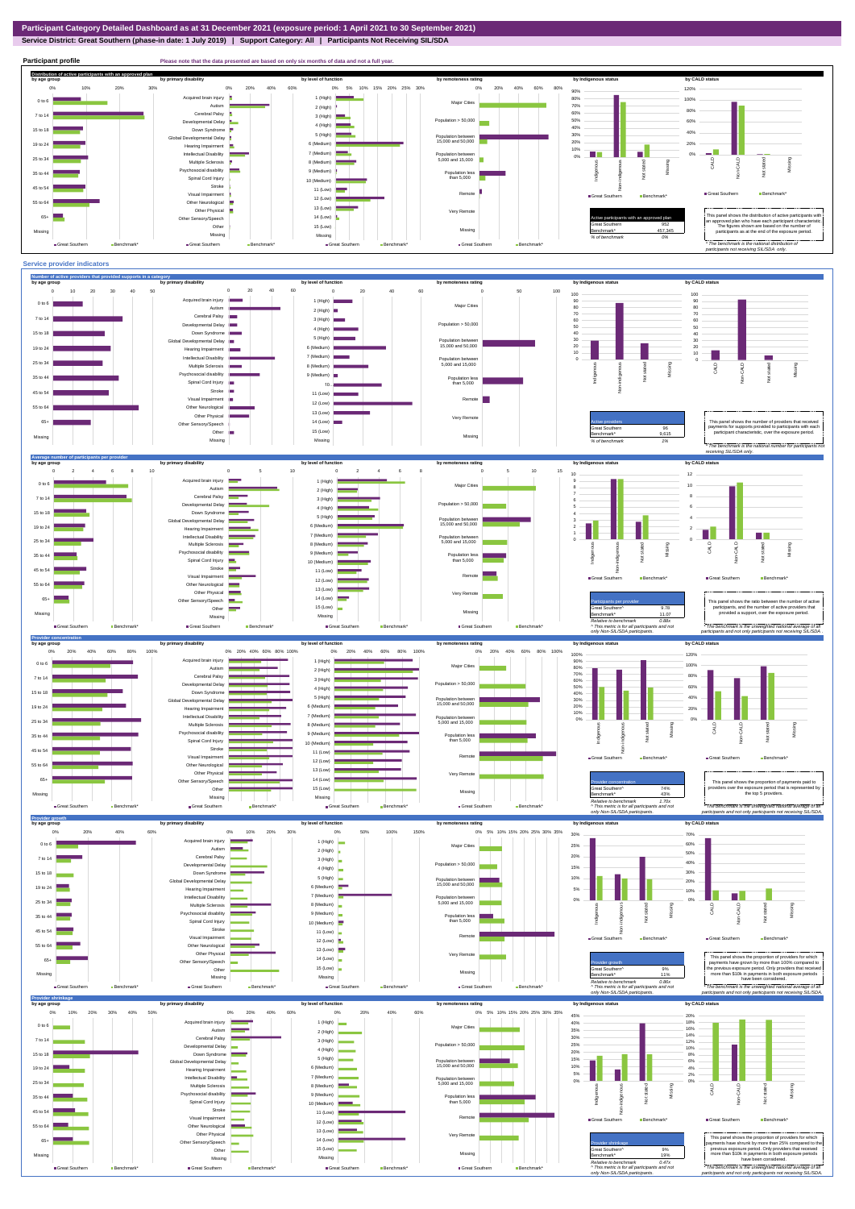Other Missing ■Great Southern Benchmark

**Service District: Great Southern (phase-in date: 1 July 2019) | Support Category: All | Participants Not Receiving SIL/SDA Participant profile Please note that the data presented are based on only six months of data and not a full year. Distribution of active participants with an approved plan** by age group by primary disability by remoteness rating by hdigenous status by CALD status 0% 20% 40% 60% 0% 5% 10% 15% 20% 25% 30% 0% 20% 40% 60% 80% 120% 0% 10% 20% 30% 90% ed brain injury 1 (High) 80% 100% 0 to 6 Major Cities ÷. Autism **B** 70% 2 (High) 80% 60% Cerebral Palsy 7 to 14 3 (High) Developmental Delay Population > 50,000 50% 60% **The State**  $4$  (High) 40% 15 to 18 Down Syndrome 5 (High) 40% 30% evelopmental Delay Population between 15,000 and 50,000 20% 6 (Medium) 20% 19 to 24 Hearing Impairment 10%  $\sim$   $\sim$ 7 (Medium) Intellectual Disability **COLOR** m. 0% Population between 5,000 and 15,000 0% 25 to 34 Multiple Sclerosis 8 (Medium) CALD Non-CALD Missing henous Non-indigenous **Cial disability** Indigenc Missing 9 (Medium) 35 to 44 Population less than 5,000 nstated in 1916.<br>Note  $\ddot{2}$ Spinal Cord Injury Ť 10 (Medium) Stroke 45 to 54 11 (Low) å Great Southern Benchmark Visual Impairmen Remote Great Southern Benchmark 12 (Low) 55 to 64 Other Neurological 13 (Low) Other Physical Very Remote Active participants with an approved plan This panel shows the distribution of active participants with an approved plan who have each participant characteristic.  $65+$ Sensory/Speech 14 (Low)  $\blacksquare$ Other 15 (Low) Great Southern 952 The figures shown are based on the number of participants as at the end of the exposure period. Missing 457,345 Missing Missing Missing *% of benchmark 0%* Great Southern Benchmark\* Great Southern Benchmark Great Southern Ben Great Southern Benchmark *\* The benchmark is the national distribution of participants not receiving SIL/SDA only.* **Service provider indicators Number of active providers that provided supports in a category** by age group by primary disability by remoteness rating by hdigenous status by CALD status 0 20 40 60 0 10 20 30 40 50 0 20 40 60 0 50 100 100 100 Acquired brain injury 1 (High) 0 to 6 90 90 Major Cities Autism 2 (High) 80 80 Cerebral Palsy 70 70 7 to 14 3 (High) 60 60 Developmental Delay Population > 50,000 4 (High) 50 50 15 to 18 Down Syndrome 40 40 5 (High) opmental Delay Population between 15,000 and 50,000 30 30 6 (Medium) 19 to 24 Hearing Impairment  $\sim$ 20 20 П 10 10 7 (Medium) Intellectual Disability Population between 5,000 and 15,000 0 25 to 3 Multiple Sclerosis 8 (Medium) Not stated Missing Missing ÷. Non-indigenous CALD Non-CALD Not stated **Cial disability** ndigen 9 (Medium) 35 to 44 Population less than 5,000 Spinal Cord Injury 10… Stroke **III**  $45$  to  $5$ 11 (Low) × Visual Impairment Remote 12 (Low) 55 to 64 Other Neurological 13 (Low)  $\blacksquare$ Other Physical Very Remote  $14$  (Low) This panel shows the number of providers that received 65+ r Sensory/Speech payments for supports provided to participants with each participant characteristic, over the exposure period. Great Southern 96 Other 15 (Low) 9.615 Missing Missing MissingMissing *% of benchmark 1% \* The benchmark is the national number for participants not receiving SIL/SDA only.* **Average number of participants per provider by age group by primary disability by level of function by remoteness rating by Indigenous status by CALD status** 0 2 4 6 8 0 2 4 6 8 10 0 5 10 0 5 10 15 10 12 ed brain injury 1 (High)  $0$  to 9 Major Cities 10 Autism -2 (High) 8 Cerebral Palsy 7 7 to 14 3 (High) 8 6 **Nonmental Delay** Population > 50,000 4 (High) and the 5 6 15 to 18 Down Syndrome 4 5 (High) ental Delay 4 Population between 15,000 and 50,000 3 6 (Medium) 19 to 24 Hearing Impairment 2 2 7 (Medium)  $\Box$  $\mathcal{L}_{\mathrm{eff}}$ **Internal Disability** 1 Population between 5,000 and 15,000 25 to 3 0 Multiple Sclerosis 8 (Medium) m. Non-CALD Indigenous digenous Non-indigenous Not stated CALD Not stated Missing Missing Psychosocial disability 9 (Medium) 35 to 44 Population less than 5,000 Spinal Cord Injury 10 (Medium) Stroke 45 to 54  $\frac{5}{2}$ 11 (Low) Visual Impairment ٠ Great Southern B Remote 12 (Low) Great Southern Benchmark\* ÷. Other Neurological  $55$  to  $6$  $\equiv$ 13 (Low) Other Physical Very Re 65+ 14 (Low) Other Sensory/Speech This panel shows the ratio between the number of active<br>
participants, and the number of active providers that<br>
Participants, and the number of active providers that Other 15 (Low) participants, and the number of active providers that Missing Great Southern^ 9.78 Missing Benchmark\* 11.07 provided a support, over the exposure period. Missing Missing *Relative to benchmark 0.88x ^ This metric is for all participants and not*  **Great Southern** Benchmark **B** Great Southern **B** Great Southern Benchmark *\* The benchmark is the unweighted national average of all*  Great Southern Benchmark\* *participants and not only participants not receiving SIL/SDA .* only Non-SIL/SDA participa **Provider con**<br>by age group by age group by primary disability by remoteness rating by hdigenous status by CALD status 0% 20% 40% 60% 80% 100% 0% 20% 40% 60% 80% 100% 0% 20% 40% 60% 80% 100% 0% 20% 40% 60% 80% 100% 100% 120% Acquired brain injury 1 (High) 90% Major Cities 100% 0 to 6 Autism × 70% 80% 2 (High) 80% Cerebral Palsy 7 to 14 3 (High) 60% Developmental Delay Population > 50,000 60% 4 (High) 40% 50% 15 to 18 Down Syndrome 5 (High) 40% elopmental Delay Population between 15,000 and 50,000 0% 10% 20% 30% 6 (Medium) 19 to 2 Hearing Impairment 20% 7 (Medium) Intellectual Disability 0% Population between 5,000 and 15,000  $25$  to 3 Multiple Sclerosi 8 (Medium) -indigenous Missing CALD Non-CALD Not stated Non-indigenous Missing Psychosocial disability 9 (Medium)  $35$  to 4 Population less than 5,000 Indige  $\frac{5}{2}$ Spinal Cord Injury 10 (Medium) Strok ξś 45 to 54 11 (Low) Visual Impairment  $\blacksquare$  Great Southern  $\blacksquare$  Benchmark  $\blacksquare$ Remote  $\blacksquare$  Creat Southern  $\blacksquare$  Benchmark  $\blacksquare$ 12 (Low) Other Neurological  $55$  to  $6$ 13 (Low) Other Physical Very R 14 (Low) 65+ Other Sensory/Speech

> Missing  $\blacksquare$  Great Southern Benchmark

 $74%$ <br> $43%$ 

Provider concentration **This paid to the top of the proportion** of payments paid to Great Southern^ and that is represented by a state of providers over the exposure period that is represented by Secondary and that is repr

Benchmark\* 43% *Relative to benchmark 1.70x ^ This metric is for all participants and not only Non-SIL/SDA participants. \* The benchmark is the unweighted national average of all participants and not only participants not receiving SIL/SDA.* **Provider grow**<br>by age group **by age group by primary disability by level of function by remoteness rating by Indigenous status by CALD status** 0% 20% 40% 60% 0% 10% 20% 30% 0% 5% 10% 15% 20% 25% 30% 35% 0% 50% 100% 150% 30% 70% Acquired brain injury 1 (High) 0 to 6 60% 25% Major Cities Autism  $\overline{\phantom{a}}$ 2 (High) 50% Cerebral Palsy 20% 7 to 14 3 (High) Population > 50,000 40% Developmental Delay 15% 4 (High) 15 to 18 Down Syndrome --30% 5 (High) 10% Global Developmental Delay Population between 15,000 and 50,000 20% 6 (Medium) 19 to 24 Hearing Impairment 5% 10% 7 (Medium) m. Intellectual Disability 25 to 34 Population between 5,000 and 15,000 0% 0% Multiple Sclerosis 8 (Medium) CALD



Missing

Great Southern Benchmark\*

15 (Low) Missing

Great Southern Benchmark\*